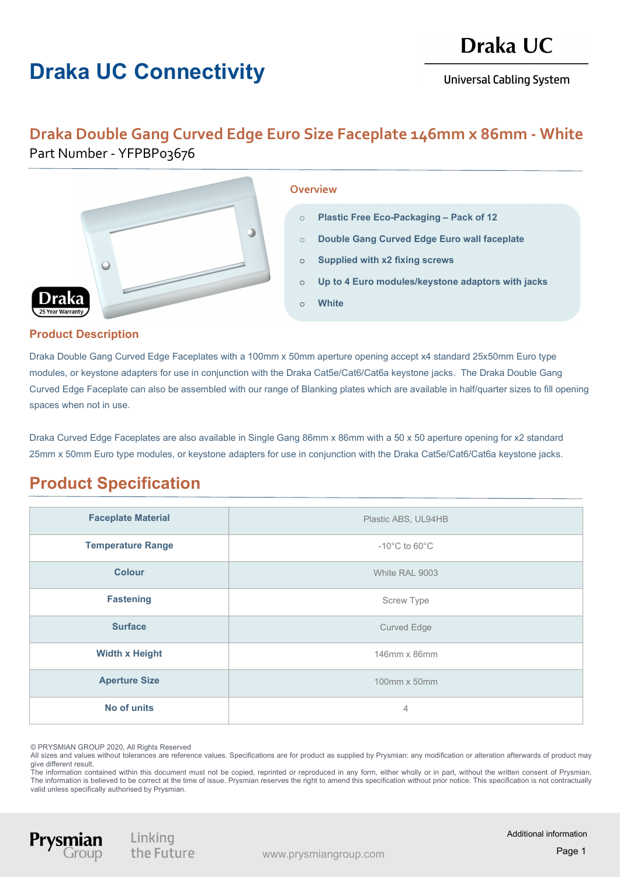# Draka UC Connectivity

## Draka UC

**Universal Cabling System** 

#### Draka Double Gang Curved Edge Euro Size Faceplate 146mm x 86mm - White Part Number - YFPBP03676



#### **Overview**

- o Plastic Free Eco-Packaging Pack of 12
- o Double Gang Curved Edge Euro wall faceplate
- o Supplied with x2 fixing screws
- o Up to 4 Euro modules/keystone adaptors with jacks
- o White

### Product Description

Draka Double Gang Curved Edge Faceplates with a 100mm x 50mm aperture opening accept x4 standard 25x50mm Euro type modules, or keystone adapters for use in conjunction with the Draka Cat5e/Cat6/Cat6a keystone jacks. The Draka Double Gang Curved Edge Faceplate can also be assembled with our range of Blanking plates which are available in half/quarter sizes to fill opening spaces when not in use.

Draka Curved Edge Faceplates are also available in Single Gang 86mm x 86mm with a 50 x 50 aperture opening for x2 standard 25mm x 50mm Euro type modules, or keystone adapters for use in conjunction with the Draka Cat5e/Cat6/Cat6a keystone jacks.

### Product Specification

| <b>Faceplate Material</b> | Plastic ABS, UL94HB                |
|---------------------------|------------------------------------|
| <b>Temperature Range</b>  | $-10^{\circ}$ C to 60 $^{\circ}$ C |
| <b>Colour</b>             | White RAL 9003                     |
| <b>Fastening</b>          | <b>Screw Type</b>                  |
| <b>Surface</b>            | <b>Curved Edge</b>                 |
| <b>Width x Height</b>     | 146mm x 86mm                       |
| <b>Aperture Size</b>      | 100mm x 50mm                       |
| No of units               | $\overline{4}$                     |

© PRYSMIAN GROUP 2020, All Rights Reserved

All sizes and values without tolerances are reference values. Specifications are for product as supplied by Prysmian: any modification or alteration afterwards of product may give different result.

The information contained within this document must not be copied, reprinted or reproduced in any form, either wholly or in part, without the written consent of Prysmian. The information is believed to be correct at the time of issue. Prysmian reserves the right to amend this specification without prior notice. This specification is not contractually valid unless specifically authorised by Prysmian.

Linking the Future

Prysn

Additional information